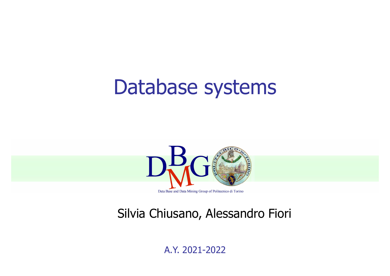#### Database systems



#### Silvia Chiusano, Alessandro Fiori

A.Y. 2021-2022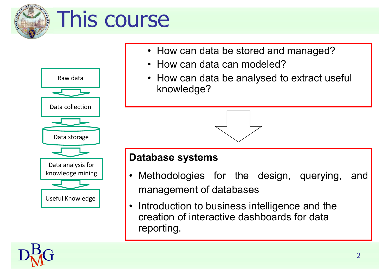

# This course



- 
- 
- How can data be stored and managed<br>• How can data can modeled?<br>• How can data be analysed to extract university<br>throwledge?<br>Database systems<br>• Methodologies for the design, queryin Se<br>• How can data be stored and managed?<br>• How can data can modeled?<br>• How can data be analysed to extract useful Se<br>• How can data be stored and managed?<br>• How can data can modeled?<br>• How can data be analysed to extract useful knowledge? • How can data be stored and managed?<br>• How can data can modeled?<br>• How can data be analysed to extract useful knowledge? knowledge?

- knowledge mining | | Methodologies for the design, querying, • How can data can modeled?<br>• How can data be analysed to extract useful<br>knowledge?<br><br>• Methodologies for the design, querying, and<br>management of databases<br>• Introduction to business intelligance and the • How can data be analysed to extract useful<br>knowledge?<br><br><br>**atabase systems**<br>Methodologies for the design, querying, and<br>management of databases<br>Introduction to business intelligence and the<br>creation of interactive dashboar
	- knowledge?<br> **Database systems**<br>
	 Methodologies for the design, querying, and<br>
	management of databases<br>
	 Introduction to business intelligence and the<br>
	creation of interactive dashboards for data<br>
	reporting. creation of interactive dashboards for data reporting.

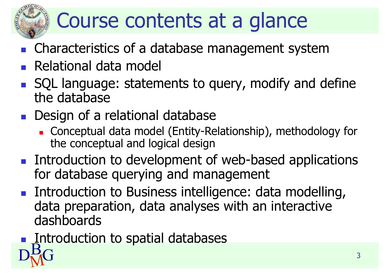

### Course contents at a glance

- Characteristics of a database management system
- Relational data model
- SQL language: statements to query, modify and define the database
- **Design of a relational database** 
	- Conceptual data model (Entity-Relationship), methodology for the conceptual and logical design
- **Introduction to development of web-based applications** for database querying and management
- Introduction to Business intelligence: data modelling, data preparation, data analyses with an interactive dashboards
- $D_{\rm M}^{\rm B-G}$  3 Introduction to spatial databases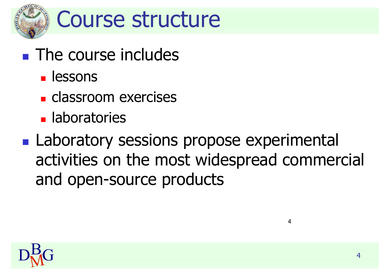

- **The course includes** 
	- **L** lessons
	- **classroom** exercises
	- **Laboratories**
- **Laboratory sessions propose experimental** activities on the most widespread commercial and open-source products



4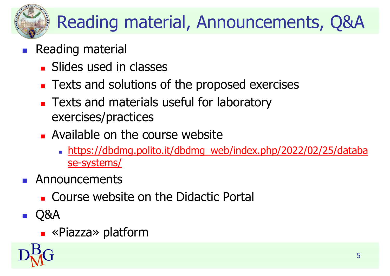#### Reading material, Announcements, Q&A

#### Reading material

- **Slides used in classes**
- **Texts and solutions of the proposed exercises**
- **Texts and materials useful for laboratory** exercises/practices
- **Available on the course website** 
	- https://dbdmg.polito.it/dbdmg\_web/index.php/2022/02/25/databa se-systems/
- **Announcements** 
	- **EXCOUTSE WEDSITE ON the Didactic Portal**
- **Q&A** 
	- «Piazza» platform

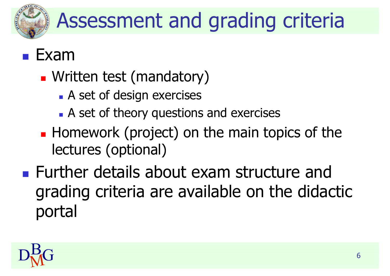

## Assessment and grading criteria

#### Exam

- **N** Written test (mandatory)
	- **A** set of design exercises
	- A set of theory questions and exercises
- **Homework (project) on the main topics of the** lectures (optional)
- **EXA** Further details about exam structure and grading criteria are available on the didactic portal

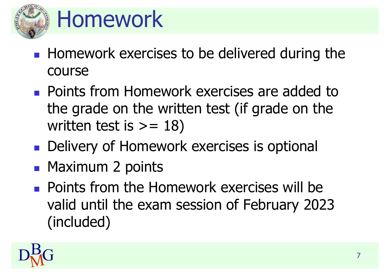

## Homework

- **Homework exercises to be delivered during the** course
- **Points from Homework exercises are added to** the grade on the written test (if grade on the written test is  $>= 18$ )
- **Delivery of Homework exercises is optional**
- **Maximum 2 points**
- **Points from the Homework exercises will be** valid until the exam session of February 2023 (included)